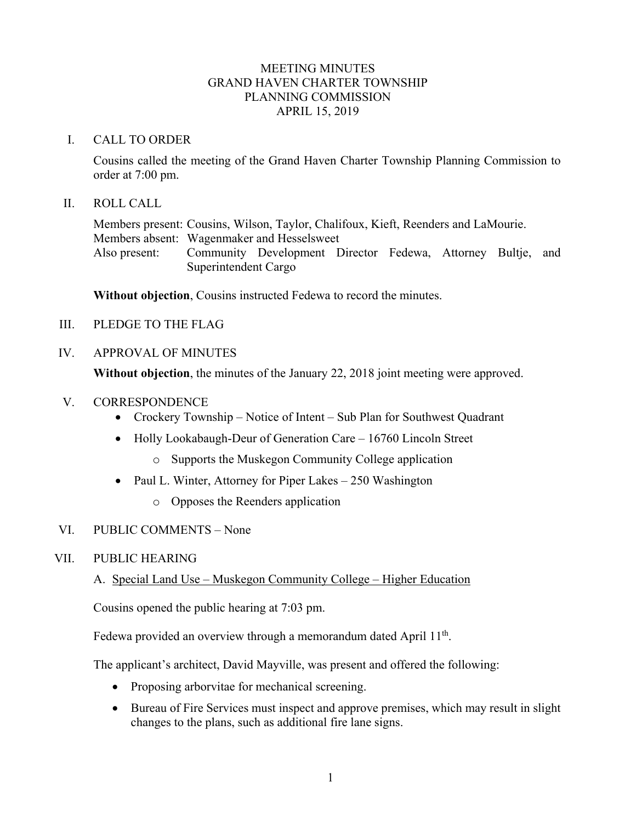## MEETING MINUTES GRAND HAVEN CHARTER TOWNSHIP PLANNING COMMISSION APRIL 15, 2019

## I. CALL TO ORDER

Cousins called the meeting of the Grand Haven Charter Township Planning Commission to order at 7:00 pm.

### II. ROLL CALL

Members present: Cousins, Wilson, Taylor, Chalifoux, Kieft, Reenders and LaMourie. Members absent: Wagenmaker and Hesselsweet Also present: Community Development Director Fedewa, Attorney Bultje, and Superintendent Cargo

**Without objection**, Cousins instructed Fedewa to record the minutes.

III. PLEDGE TO THE FLAG

## IV. APPROVAL OF MINUTES

**Without objection**, the minutes of the January 22, 2018 joint meeting were approved.

- V. CORRESPONDENCE
	- Crockery Township Notice of Intent Sub Plan for Southwest Quadrant
	- Holly Lookabaugh-Deur of Generation Care 16760 Lincoln Street
		- o Supports the Muskegon Community College application
	- Paul L. Winter, Attorney for Piper Lakes 250 Washington
		- o Opposes the Reenders application

## VI. PUBLIC COMMENTS – None

## VII. PUBLIC HEARING

# A. Special Land Use – Muskegon Community College – Higher Education

Cousins opened the public hearing at 7:03 pm.

Fedewa provided an overview through a memorandum dated April  $11<sup>th</sup>$ .

The applicant's architect, David Mayville, was present and offered the following:

- Proposing arborvitae for mechanical screening.
- Bureau of Fire Services must inspect and approve premises, which may result in slight changes to the plans, such as additional fire lane signs.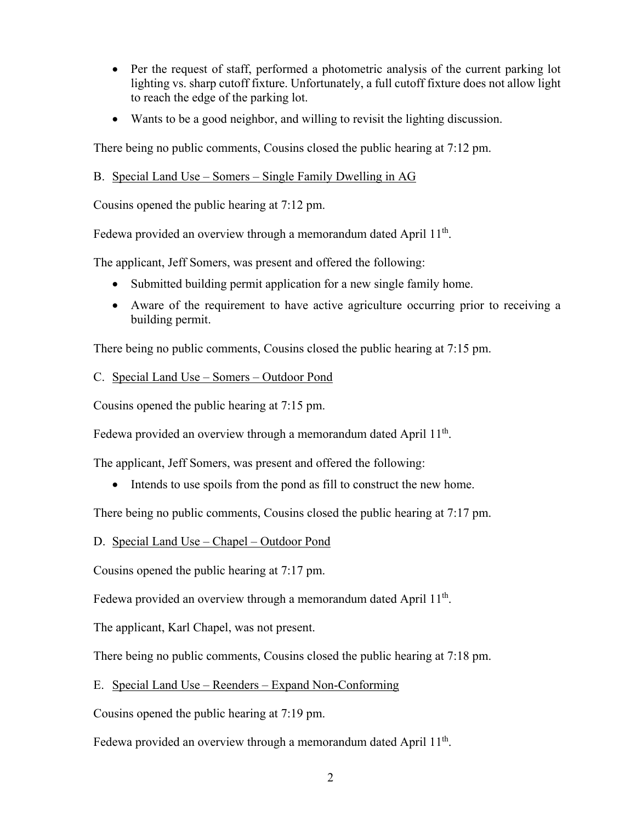- Per the request of staff, performed a photometric analysis of the current parking lot lighting vs. sharp cutoff fixture. Unfortunately, a full cutoff fixture does not allow light to reach the edge of the parking lot.
- Wants to be a good neighbor, and willing to revisit the lighting discussion.

There being no public comments, Cousins closed the public hearing at 7:12 pm.

# B. Special Land Use – Somers – Single Family Dwelling in AG

Cousins opened the public hearing at 7:12 pm.

Fedewa provided an overview through a memorandum dated April  $11<sup>th</sup>$ .

The applicant, Jeff Somers, was present and offered the following:

- Submitted building permit application for a new single family home.
- Aware of the requirement to have active agriculture occurring prior to receiving a building permit.

There being no public comments, Cousins closed the public hearing at 7:15 pm.

# C. Special Land Use – Somers – Outdoor Pond

Cousins opened the public hearing at 7:15 pm.

Fedewa provided an overview through a memorandum dated April  $11<sup>th</sup>$ .

The applicant, Jeff Somers, was present and offered the following:

• Intends to use spoils from the pond as fill to construct the new home.

There being no public comments, Cousins closed the public hearing at 7:17 pm.

# D. Special Land Use – Chapel – Outdoor Pond

Cousins opened the public hearing at 7:17 pm.

Fedewa provided an overview through a memorandum dated April 11<sup>th</sup>.

The applicant, Karl Chapel, was not present.

There being no public comments, Cousins closed the public hearing at 7:18 pm.

# E. Special Land Use – Reenders – Expand Non-Conforming

Cousins opened the public hearing at 7:19 pm.

Fedewa provided an overview through a memorandum dated April  $11<sup>th</sup>$ .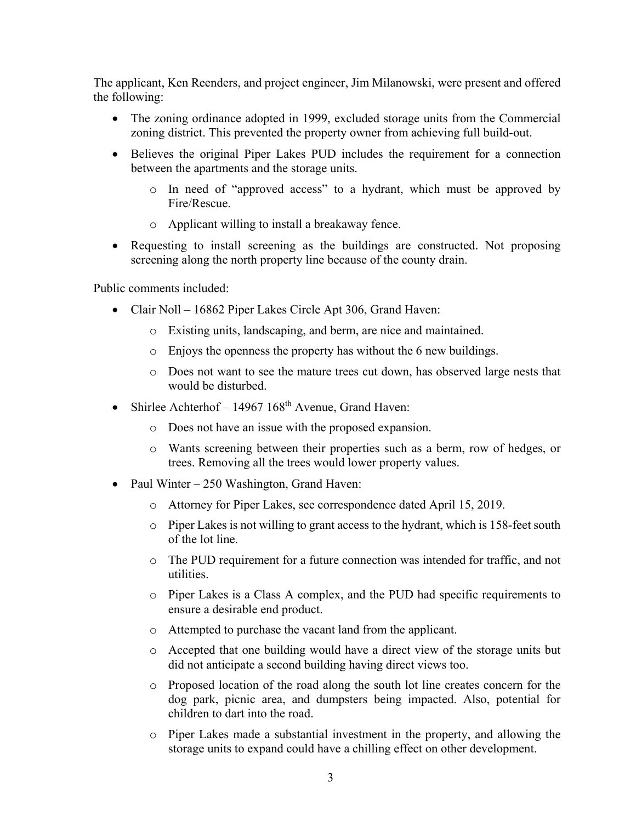The applicant, Ken Reenders, and project engineer, Jim Milanowski, were present and offered the following:

- The zoning ordinance adopted in 1999, excluded storage units from the Commercial zoning district. This prevented the property owner from achieving full build-out.
- Believes the original Piper Lakes PUD includes the requirement for a connection between the apartments and the storage units.
	- o In need of "approved access" to a hydrant, which must be approved by Fire/Rescue.
	- o Applicant willing to install a breakaway fence.
- Requesting to install screening as the buildings are constructed. Not proposing screening along the north property line because of the county drain.

Public comments included:

- Clair Noll 16862 Piper Lakes Circle Apt 306, Grand Haven:
	- o Existing units, landscaping, and berm, are nice and maintained.
	- o Enjoys the openness the property has without the 6 new buildings.
	- o Does not want to see the mature trees cut down, has observed large nests that would be disturbed.
- Shirlee Achterhof 14967  $168<sup>th</sup>$  Avenue, Grand Haven:
	- o Does not have an issue with the proposed expansion.
	- o Wants screening between their properties such as a berm, row of hedges, or trees. Removing all the trees would lower property values.
- Paul Winter 250 Washington, Grand Haven:
	- o Attorney for Piper Lakes, see correspondence dated April 15, 2019.
	- $\circ$  Piper Lakes is not willing to grant access to the hydrant, which is 158-feet south of the lot line.
	- o The PUD requirement for a future connection was intended for traffic, and not utilities.
	- o Piper Lakes is a Class A complex, and the PUD had specific requirements to ensure a desirable end product.
	- o Attempted to purchase the vacant land from the applicant.
	- o Accepted that one building would have a direct view of the storage units but did not anticipate a second building having direct views too.
	- o Proposed location of the road along the south lot line creates concern for the dog park, picnic area, and dumpsters being impacted. Also, potential for children to dart into the road.
	- o Piper Lakes made a substantial investment in the property, and allowing the storage units to expand could have a chilling effect on other development.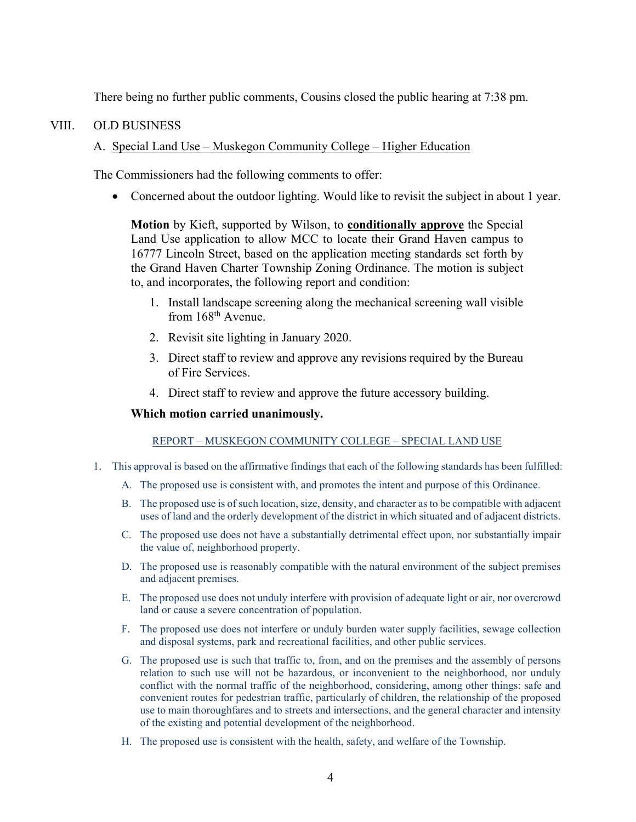There being no further public comments, Cousins closed the public hearing at 7:38 pm.

## VIII. OLD BUSINESS

# A. Special Land Use – Muskegon Community College – Higher Education

The Commissioners had the following comments to offer:

• Concerned about the outdoor lighting. Would like to revisit the subject in about 1 year.

**Motion** by Kieft, supported by Wilson, to **conditionally approve** the Special Land Use application to allow MCC to locate their Grand Haven campus to 16777 Lincoln Street, based on the application meeting standards set forth by the Grand Haven Charter Township Zoning Ordinance. The motion is subject to, and incorporates, the following report and condition:

- 1. Install landscape screening along the mechanical screening wall visible from 168<sup>th</sup> Avenue.
- 2. Revisit site lighting in January 2020.
- 3. Direct staff to review and approve any revisions required by the Bureau of Fire Services.
- 4. Direct staff to review and approve the future accessory building.

### **Which motion carried unanimously.**

### REPORT – MUSKEGON COMMUNITY COLLEGE – SPECIAL LAND USE

- 1. This approval is based on the affirmative findings that each of the following standards has been fulfilled:
	- A. The proposed use is consistent with, and promotes the intent and purpose of this Ordinance.
	- B. The proposed use is of such location, size, density, and character as to be compatible with adjacent uses of land and the orderly development of the district in which situated and of adjacent districts.
	- C. The proposed use does not have a substantially detrimental effect upon, nor substantially impair the value of, neighborhood property.
	- D. The proposed use is reasonably compatible with the natural environment of the subject premises and adjacent premises.
	- E. The proposed use does not unduly interfere with provision of adequate light or air, nor overcrowd land or cause a severe concentration of population.
	- F. The proposed use does not interfere or unduly burden water supply facilities, sewage collection and disposal systems, park and recreational facilities, and other public services.
	- G. The proposed use is such that traffic to, from, and on the premises and the assembly of persons relation to such use will not be hazardous, or inconvenient to the neighborhood, nor unduly conflict with the normal traffic of the neighborhood, considering, among other things: safe and convenient routes for pedestrian traffic, particularly of children, the relationship of the proposed use to main thoroughfares and to streets and intersections, and the general character and intensity of the existing and potential development of the neighborhood.
	- H. The proposed use is consistent with the health, safety, and welfare of the Township.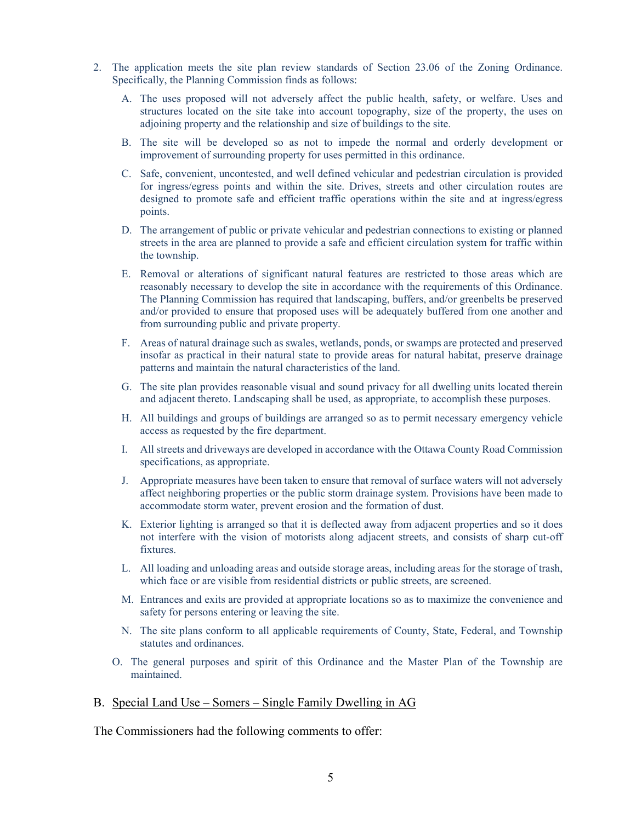- 2. The application meets the site plan review standards of Section 23.06 of the Zoning Ordinance. Specifically, the Planning Commission finds as follows:
	- A. The uses proposed will not adversely affect the public health, safety, or welfare. Uses and structures located on the site take into account topography, size of the property, the uses on adjoining property and the relationship and size of buildings to the site.
	- B. The site will be developed so as not to impede the normal and orderly development or improvement of surrounding property for uses permitted in this ordinance.
	- C. Safe, convenient, uncontested, and well defined vehicular and pedestrian circulation is provided for ingress/egress points and within the site. Drives, streets and other circulation routes are designed to promote safe and efficient traffic operations within the site and at ingress/egress points.
	- D. The arrangement of public or private vehicular and pedestrian connections to existing or planned streets in the area are planned to provide a safe and efficient circulation system for traffic within the township.
	- E. Removal or alterations of significant natural features are restricted to those areas which are reasonably necessary to develop the site in accordance with the requirements of this Ordinance. The Planning Commission has required that landscaping, buffers, and/or greenbelts be preserved and/or provided to ensure that proposed uses will be adequately buffered from one another and from surrounding public and private property.
	- F. Areas of natural drainage such as swales, wetlands, ponds, or swamps are protected and preserved insofar as practical in their natural state to provide areas for natural habitat, preserve drainage patterns and maintain the natural characteristics of the land.
	- G. The site plan provides reasonable visual and sound privacy for all dwelling units located therein and adjacent thereto. Landscaping shall be used, as appropriate, to accomplish these purposes.
	- H. All buildings and groups of buildings are arranged so as to permit necessary emergency vehicle access as requested by the fire department.
	- I. All streets and driveways are developed in accordance with the Ottawa County Road Commission specifications, as appropriate.
	- J. Appropriate measures have been taken to ensure that removal of surface waters will not adversely affect neighboring properties or the public storm drainage system. Provisions have been made to accommodate storm water, prevent erosion and the formation of dust.
	- K. Exterior lighting is arranged so that it is deflected away from adjacent properties and so it does not interfere with the vision of motorists along adjacent streets, and consists of sharp cut-off fixtures.
	- L. All loading and unloading areas and outside storage areas, including areas for the storage of trash, which face or are visible from residential districts or public streets, are screened.
	- M. Entrances and exits are provided at appropriate locations so as to maximize the convenience and safety for persons entering or leaving the site.
	- N. The site plans conform to all applicable requirements of County, State, Federal, and Township statutes and ordinances.
	- O. The general purposes and spirit of this Ordinance and the Master Plan of the Township are maintained.

#### B. Special Land Use – Somers – Single Family Dwelling in AG

The Commissioners had the following comments to offer: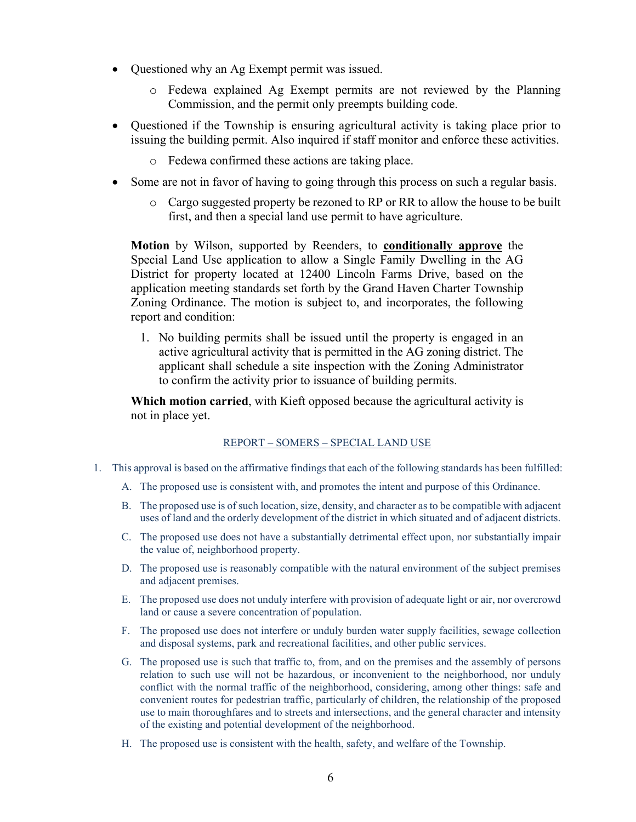- Questioned why an Ag Exempt permit was issued.
	- o Fedewa explained Ag Exempt permits are not reviewed by the Planning Commission, and the permit only preempts building code.
- Questioned if the Township is ensuring agricultural activity is taking place prior to issuing the building permit. Also inquired if staff monitor and enforce these activities.
	- o Fedewa confirmed these actions are taking place.
- Some are not in favor of having to going through this process on such a regular basis.
	- o Cargo suggested property be rezoned to RP or RR to allow the house to be built first, and then a special land use permit to have agriculture.

**Motion** by Wilson, supported by Reenders, to **conditionally approve** the Special Land Use application to allow a Single Family Dwelling in the AG District for property located at 12400 Lincoln Farms Drive, based on the application meeting standards set forth by the Grand Haven Charter Township Zoning Ordinance. The motion is subject to, and incorporates, the following report and condition:

1. No building permits shall be issued until the property is engaged in an active agricultural activity that is permitted in the AG zoning district. The applicant shall schedule a site inspection with the Zoning Administrator to confirm the activity prior to issuance of building permits.

**Which motion carried**, with Kieft opposed because the agricultural activity is not in place yet.

### REPORT – SOMERS – SPECIAL LAND USE

- 1. This approval is based on the affirmative findings that each of the following standards has been fulfilled:
	- A. The proposed use is consistent with, and promotes the intent and purpose of this Ordinance.
	- B. The proposed use is of such location, size, density, and character as to be compatible with adjacent uses of land and the orderly development of the district in which situated and of adjacent districts.
	- C. The proposed use does not have a substantially detrimental effect upon, nor substantially impair the value of, neighborhood property.
	- D. The proposed use is reasonably compatible with the natural environment of the subject premises and adjacent premises.
	- E. The proposed use does not unduly interfere with provision of adequate light or air, nor overcrowd land or cause a severe concentration of population.
	- F. The proposed use does not interfere or unduly burden water supply facilities, sewage collection and disposal systems, park and recreational facilities, and other public services.
	- G. The proposed use is such that traffic to, from, and on the premises and the assembly of persons relation to such use will not be hazardous, or inconvenient to the neighborhood, nor unduly conflict with the normal traffic of the neighborhood, considering, among other things: safe and convenient routes for pedestrian traffic, particularly of children, the relationship of the proposed use to main thoroughfares and to streets and intersections, and the general character and intensity of the existing and potential development of the neighborhood.
	- H. The proposed use is consistent with the health, safety, and welfare of the Township.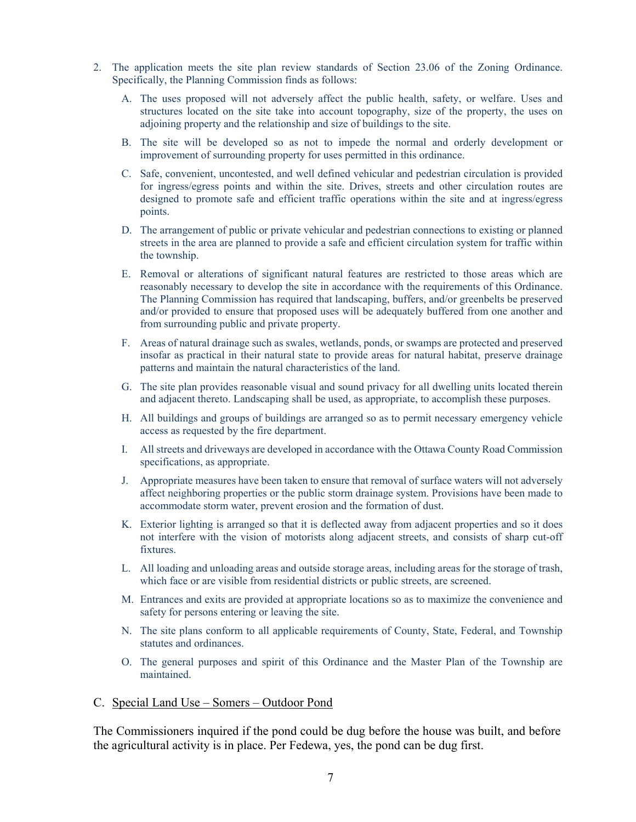- 2. The application meets the site plan review standards of Section 23.06 of the Zoning Ordinance. Specifically, the Planning Commission finds as follows:
	- A. The uses proposed will not adversely affect the public health, safety, or welfare. Uses and structures located on the site take into account topography, size of the property, the uses on adjoining property and the relationship and size of buildings to the site.
	- B. The site will be developed so as not to impede the normal and orderly development or improvement of surrounding property for uses permitted in this ordinance.
	- C. Safe, convenient, uncontested, and well defined vehicular and pedestrian circulation is provided for ingress/egress points and within the site. Drives, streets and other circulation routes are designed to promote safe and efficient traffic operations within the site and at ingress/egress points.
	- D. The arrangement of public or private vehicular and pedestrian connections to existing or planned streets in the area are planned to provide a safe and efficient circulation system for traffic within the township.
	- E. Removal or alterations of significant natural features are restricted to those areas which are reasonably necessary to develop the site in accordance with the requirements of this Ordinance. The Planning Commission has required that landscaping, buffers, and/or greenbelts be preserved and/or provided to ensure that proposed uses will be adequately buffered from one another and from surrounding public and private property.
	- F. Areas of natural drainage such as swales, wetlands, ponds, or swamps are protected and preserved insofar as practical in their natural state to provide areas for natural habitat, preserve drainage patterns and maintain the natural characteristics of the land.
	- G. The site plan provides reasonable visual and sound privacy for all dwelling units located therein and adjacent thereto. Landscaping shall be used, as appropriate, to accomplish these purposes.
	- H. All buildings and groups of buildings are arranged so as to permit necessary emergency vehicle access as requested by the fire department.
	- I. All streets and driveways are developed in accordance with the Ottawa County Road Commission specifications, as appropriate.
	- J. Appropriate measures have been taken to ensure that removal of surface waters will not adversely affect neighboring properties or the public storm drainage system. Provisions have been made to accommodate storm water, prevent erosion and the formation of dust.
	- K. Exterior lighting is arranged so that it is deflected away from adjacent properties and so it does not interfere with the vision of motorists along adjacent streets, and consists of sharp cut-off fixtures.
	- L. All loading and unloading areas and outside storage areas, including areas for the storage of trash, which face or are visible from residential districts or public streets, are screened.
	- M. Entrances and exits are provided at appropriate locations so as to maximize the convenience and safety for persons entering or leaving the site.
	- N. The site plans conform to all applicable requirements of County, State, Federal, and Township statutes and ordinances.
	- O. The general purposes and spirit of this Ordinance and the Master Plan of the Township are maintained.

#### C. Special Land Use – Somers – Outdoor Pond

The Commissioners inquired if the pond could be dug before the house was built, and before the agricultural activity is in place. Per Fedewa, yes, the pond can be dug first.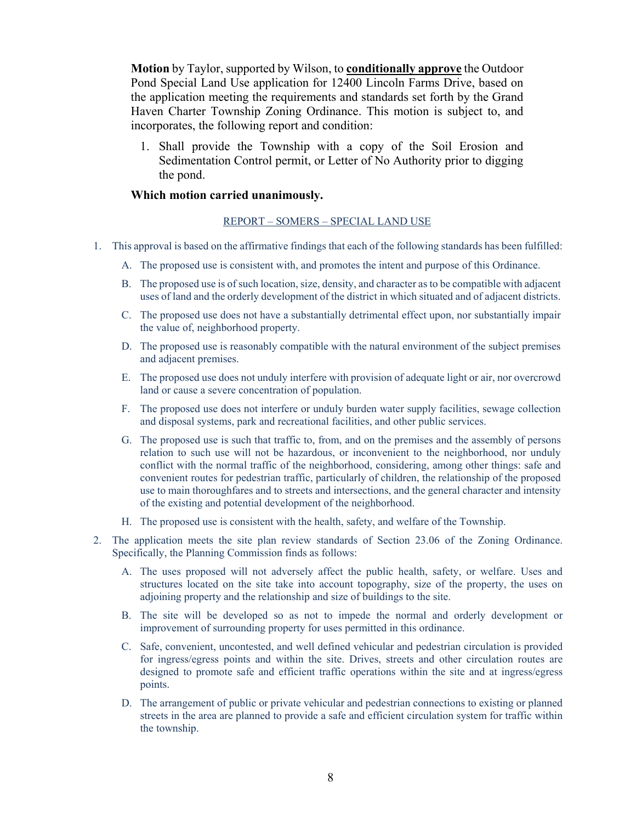**Motion** by Taylor, supported by Wilson, to **conditionally approve** the Outdoor Pond Special Land Use application for 12400 Lincoln Farms Drive, based on the application meeting the requirements and standards set forth by the Grand Haven Charter Township Zoning Ordinance. This motion is subject to, and incorporates, the following report and condition:

1. Shall provide the Township with a copy of the Soil Erosion and Sedimentation Control permit, or Letter of No Authority prior to digging the pond.

#### **Which motion carried unanimously.**

#### REPORT – SOMERS – SPECIAL LAND USE

- 1. This approval is based on the affirmative findings that each of the following standards has been fulfilled:
	- A. The proposed use is consistent with, and promotes the intent and purpose of this Ordinance.
	- B. The proposed use is of such location, size, density, and character as to be compatible with adjacent uses of land and the orderly development of the district in which situated and of adjacent districts.
	- C. The proposed use does not have a substantially detrimental effect upon, nor substantially impair the value of, neighborhood property.
	- D. The proposed use is reasonably compatible with the natural environment of the subject premises and adjacent premises.
	- E. The proposed use does not unduly interfere with provision of adequate light or air, nor overcrowd land or cause a severe concentration of population.
	- F. The proposed use does not interfere or unduly burden water supply facilities, sewage collection and disposal systems, park and recreational facilities, and other public services.
	- G. The proposed use is such that traffic to, from, and on the premises and the assembly of persons relation to such use will not be hazardous, or inconvenient to the neighborhood, nor unduly conflict with the normal traffic of the neighborhood, considering, among other things: safe and convenient routes for pedestrian traffic, particularly of children, the relationship of the proposed use to main thoroughfares and to streets and intersections, and the general character and intensity of the existing and potential development of the neighborhood.
	- H. The proposed use is consistent with the health, safety, and welfare of the Township.
- 2. The application meets the site plan review standards of Section 23.06 of the Zoning Ordinance. Specifically, the Planning Commission finds as follows:
	- A. The uses proposed will not adversely affect the public health, safety, or welfare. Uses and structures located on the site take into account topography, size of the property, the uses on adjoining property and the relationship and size of buildings to the site.
	- B. The site will be developed so as not to impede the normal and orderly development or improvement of surrounding property for uses permitted in this ordinance.
	- C. Safe, convenient, uncontested, and well defined vehicular and pedestrian circulation is provided for ingress/egress points and within the site. Drives, streets and other circulation routes are designed to promote safe and efficient traffic operations within the site and at ingress/egress points.
	- D. The arrangement of public or private vehicular and pedestrian connections to existing or planned streets in the area are planned to provide a safe and efficient circulation system for traffic within the township.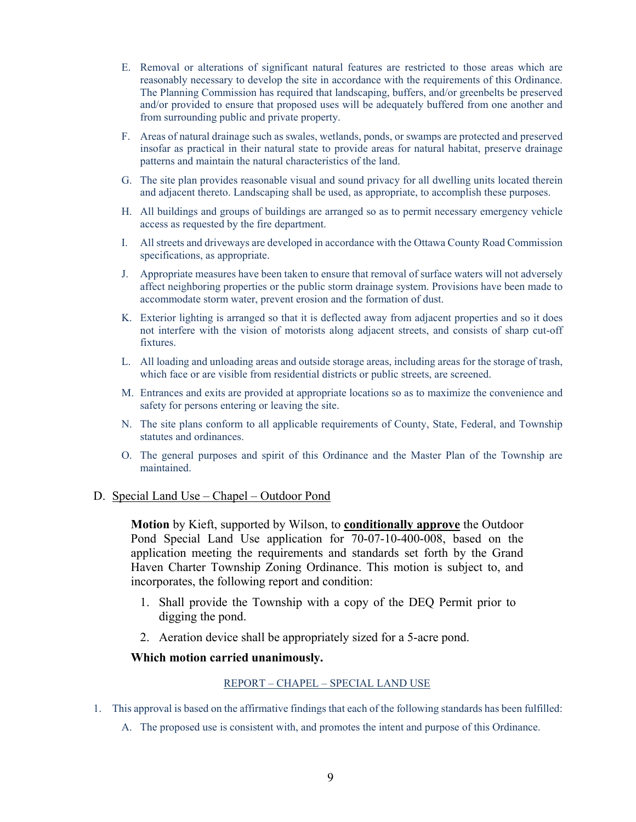- E. Removal or alterations of significant natural features are restricted to those areas which are reasonably necessary to develop the site in accordance with the requirements of this Ordinance. The Planning Commission has required that landscaping, buffers, and/or greenbelts be preserved and/or provided to ensure that proposed uses will be adequately buffered from one another and from surrounding public and private property.
- F. Areas of natural drainage such as swales, wetlands, ponds, or swamps are protected and preserved insofar as practical in their natural state to provide areas for natural habitat, preserve drainage patterns and maintain the natural characteristics of the land.
- G. The site plan provides reasonable visual and sound privacy for all dwelling units located therein and adjacent thereto. Landscaping shall be used, as appropriate, to accomplish these purposes.
- H. All buildings and groups of buildings are arranged so as to permit necessary emergency vehicle access as requested by the fire department.
- I. All streets and driveways are developed in accordance with the Ottawa County Road Commission specifications, as appropriate.
- J. Appropriate measures have been taken to ensure that removal of surface waters will not adversely affect neighboring properties or the public storm drainage system. Provisions have been made to accommodate storm water, prevent erosion and the formation of dust.
- K. Exterior lighting is arranged so that it is deflected away from adjacent properties and so it does not interfere with the vision of motorists along adjacent streets, and consists of sharp cut-off fixtures.
- L. All loading and unloading areas and outside storage areas, including areas for the storage of trash, which face or are visible from residential districts or public streets, are screened.
- M. Entrances and exits are provided at appropriate locations so as to maximize the convenience and safety for persons entering or leaving the site.
- N. The site plans conform to all applicable requirements of County, State, Federal, and Township statutes and ordinances.
- O. The general purposes and spirit of this Ordinance and the Master Plan of the Township are maintained.

### D. Special Land Use – Chapel – Outdoor Pond

**Motion** by Kieft, supported by Wilson, to **conditionally approve** the Outdoor Pond Special Land Use application for 70-07-10-400-008, based on the application meeting the requirements and standards set forth by the Grand Haven Charter Township Zoning Ordinance. This motion is subject to, and incorporates, the following report and condition:

- 1. Shall provide the Township with a copy of the DEQ Permit prior to digging the pond.
- 2. Aeration device shall be appropriately sized for a 5-acre pond.

### **Which motion carried unanimously.**

#### REPORT – CHAPEL – SPECIAL LAND USE

- 1. This approval is based on the affirmative findings that each of the following standards has been fulfilled:
	- A. The proposed use is consistent with, and promotes the intent and purpose of this Ordinance.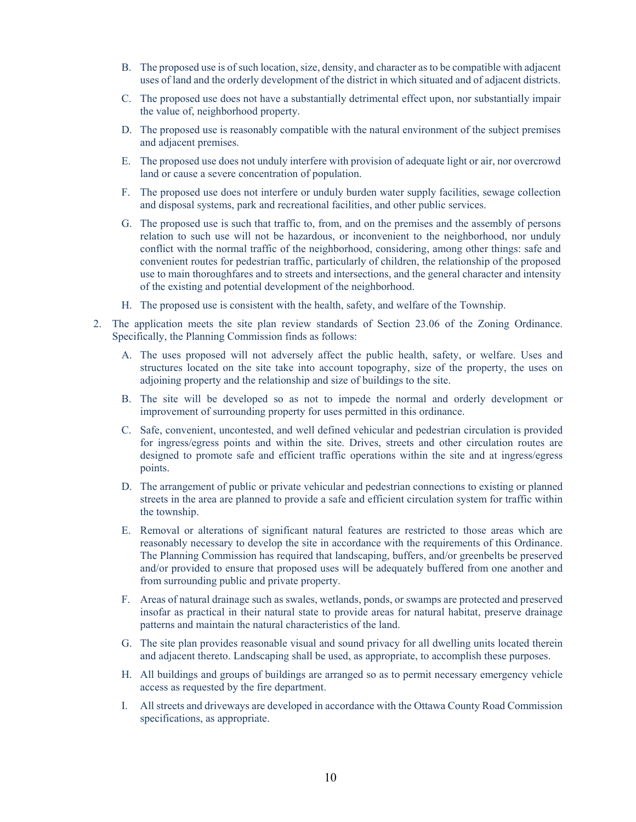- B. The proposed use is of such location, size, density, and character as to be compatible with adjacent uses of land and the orderly development of the district in which situated and of adjacent districts.
- C. The proposed use does not have a substantially detrimental effect upon, nor substantially impair the value of, neighborhood property.
- D. The proposed use is reasonably compatible with the natural environment of the subject premises and adjacent premises.
- E. The proposed use does not unduly interfere with provision of adequate light or air, nor overcrowd land or cause a severe concentration of population.
- F. The proposed use does not interfere or unduly burden water supply facilities, sewage collection and disposal systems, park and recreational facilities, and other public services.
- G. The proposed use is such that traffic to, from, and on the premises and the assembly of persons relation to such use will not be hazardous, or inconvenient to the neighborhood, nor unduly conflict with the normal traffic of the neighborhood, considering, among other things: safe and convenient routes for pedestrian traffic, particularly of children, the relationship of the proposed use to main thoroughfares and to streets and intersections, and the general character and intensity of the existing and potential development of the neighborhood.
- H. The proposed use is consistent with the health, safety, and welfare of the Township.
- 2. The application meets the site plan review standards of Section 23.06 of the Zoning Ordinance. Specifically, the Planning Commission finds as follows:
	- A. The uses proposed will not adversely affect the public health, safety, or welfare. Uses and structures located on the site take into account topography, size of the property, the uses on adjoining property and the relationship and size of buildings to the site.
	- B. The site will be developed so as not to impede the normal and orderly development or improvement of surrounding property for uses permitted in this ordinance.
	- C. Safe, convenient, uncontested, and well defined vehicular and pedestrian circulation is provided for ingress/egress points and within the site. Drives, streets and other circulation routes are designed to promote safe and efficient traffic operations within the site and at ingress/egress points.
	- D. The arrangement of public or private vehicular and pedestrian connections to existing or planned streets in the area are planned to provide a safe and efficient circulation system for traffic within the township.
	- E. Removal or alterations of significant natural features are restricted to those areas which are reasonably necessary to develop the site in accordance with the requirements of this Ordinance. The Planning Commission has required that landscaping, buffers, and/or greenbelts be preserved and/or provided to ensure that proposed uses will be adequately buffered from one another and from surrounding public and private property.
	- F. Areas of natural drainage such as swales, wetlands, ponds, or swamps are protected and preserved insofar as practical in their natural state to provide areas for natural habitat, preserve drainage patterns and maintain the natural characteristics of the land.
	- G. The site plan provides reasonable visual and sound privacy for all dwelling units located therein and adjacent thereto. Landscaping shall be used, as appropriate, to accomplish these purposes.
	- H. All buildings and groups of buildings are arranged so as to permit necessary emergency vehicle access as requested by the fire department.
	- I. All streets and driveways are developed in accordance with the Ottawa County Road Commission specifications, as appropriate.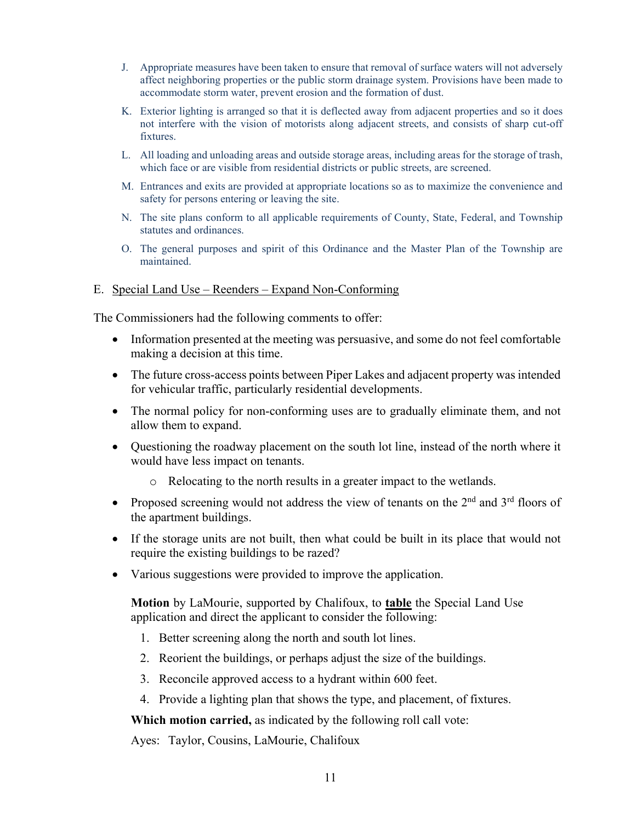- J. Appropriate measures have been taken to ensure that removal of surface waters will not adversely affect neighboring properties or the public storm drainage system. Provisions have been made to accommodate storm water, prevent erosion and the formation of dust.
- K. Exterior lighting is arranged so that it is deflected away from adjacent properties and so it does not interfere with the vision of motorists along adjacent streets, and consists of sharp cut-off fixtures.
- L. All loading and unloading areas and outside storage areas, including areas for the storage of trash, which face or are visible from residential districts or public streets, are screened.
- M. Entrances and exits are provided at appropriate locations so as to maximize the convenience and safety for persons entering or leaving the site.
- N. The site plans conform to all applicable requirements of County, State, Federal, and Township statutes and ordinances.
- O. The general purposes and spirit of this Ordinance and the Master Plan of the Township are maintained.

## E. Special Land Use – Reenders – Expand Non-Conforming

The Commissioners had the following comments to offer:

- Information presented at the meeting was persuasive, and some do not feel comfortable making a decision at this time.
- The future cross-access points between Piper Lakes and adjacent property was intended for vehicular traffic, particularly residential developments.
- The normal policy for non-conforming uses are to gradually eliminate them, and not allow them to expand.
- Questioning the roadway placement on the south lot line, instead of the north where it would have less impact on tenants.
	- o Relocating to the north results in a greater impact to the wetlands.
- Proposed screening would not address the view of tenants on the  $2<sup>nd</sup>$  and  $3<sup>rd</sup>$  floors of the apartment buildings.
- If the storage units are not built, then what could be built in its place that would not require the existing buildings to be razed?
- Various suggestions were provided to improve the application.

**Motion** by LaMourie, supported by Chalifoux, to **table** the Special Land Use application and direct the applicant to consider the following:

- 1. Better screening along the north and south lot lines.
- 2. Reorient the buildings, or perhaps adjust the size of the buildings.
- 3. Reconcile approved access to a hydrant within 600 feet.
- 4. Provide a lighting plan that shows the type, and placement, of fixtures.

**Which motion carried,** as indicated by the following roll call vote:

Ayes: Taylor, Cousins, LaMourie, Chalifoux